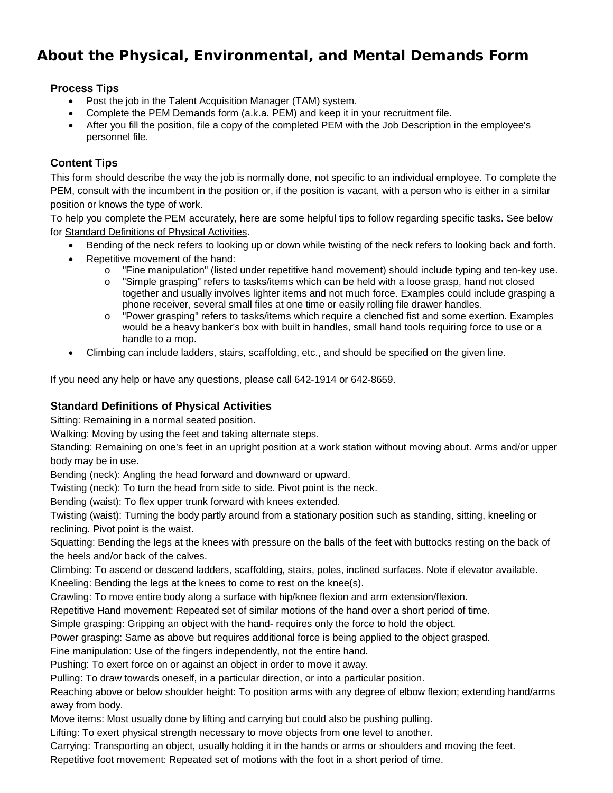# **About the Physical, Environmental, and Mental Demands Form**

### **Process Tips**

- Post the job in the Talent Acquisition Manager (TAM) system.
- Complete the PEM Demands form (a.k.a. PEM) and keep it in your recruitment file.
- After you fill the position, file a copy of the completed PEM with the Job Description in the employee's personnel file.

### **Content Tips**

This form should describe the way the job is normally done, not specific to an individual employee. To complete the PEM, consult with the incumbent in the position or, if the position is vacant, with a person who is either in a similar position or knows the type of work.

To help you complete the PEM accurately, here are some helpful tips to follow regarding specific tasks. See below for [Standard Definitions of Physical Activities.](#page-0-0)

- Bending of the neck refers to looking up or down while twisting of the neck refers to looking back and forth.
- Repetitive movement of the hand:
	- o "Fine manipulation" (listed under repetitive hand movement) should include typing and ten-key use.
	- o "Simple grasping" refers to tasks/items which can be held with a loose grasp, hand not closed together and usually involves lighter items and not much force. Examples could include grasping a phone receiver, several small files at one time or easily rolling file drawer handles.
	- $\circ$  "Power grasping" refers to tasks/items which require a clenched fist and some exertion. Examples would be a heavy banker's box with built in handles, small hand tools requiring force to use or a handle to a mop.
- <span id="page-0-0"></span>• Climbing can include ladders, stairs, scaffolding, etc., and should be specified on the given line.

If you need any help or have any questions, please call 642-1914 or 642-8659.

#### **Standard Definitions of Physical Activities**

Sitting: Remaining in a normal seated position.

Walking: Moving by using the feet and taking alternate steps.

Standing: Remaining on one's feet in an upright position at a work station without moving about. Arms and/or upper body may be in use.

Bending (neck): Angling the head forward and downward or upward.

Twisting (neck): To turn the head from side to side. Pivot point is the neck.

Bending (waist): To flex upper trunk forward with knees extended.

Twisting (waist): Turning the body partly around from a stationary position such as standing, sitting, kneeling or reclining. Pivot point is the waist.

Squatting: Bending the legs at the knees with pressure on the balls of the feet with buttocks resting on the back of the heels and/or back of the calves.

Climbing: To ascend or descend ladders, scaffolding, stairs, poles, inclined surfaces. Note if elevator available. Kneeling: Bending the legs at the knees to come to rest on the knee(s).

Crawling: To move entire body along a surface with hip/knee flexion and arm extension/flexion.

Repetitive Hand movement: Repeated set of similar motions of the hand over a short period of time.

Simple grasping: Gripping an object with the hand- requires only the force to hold the object.

Power grasping: Same as above but requires additional force is being applied to the object grasped.

Fine manipulation: Use of the fingers independently, not the entire hand.

Pushing: To exert force on or against an object in order to move it away.

Pulling: To draw towards oneself, in a particular direction, or into a particular position.

Reaching above or below shoulder height: To position arms with any degree of elbow flexion; extending hand/arms away from body.

Move items: Most usually done by lifting and carrying but could also be pushing pulling.

Lifting: To exert physical strength necessary to move objects from one level to another.

Carrying: Transporting an object, usually holding it in the hands or arms or shoulders and moving the feet.

Repetitive foot movement: Repeated set of motions with the foot in a short period of time.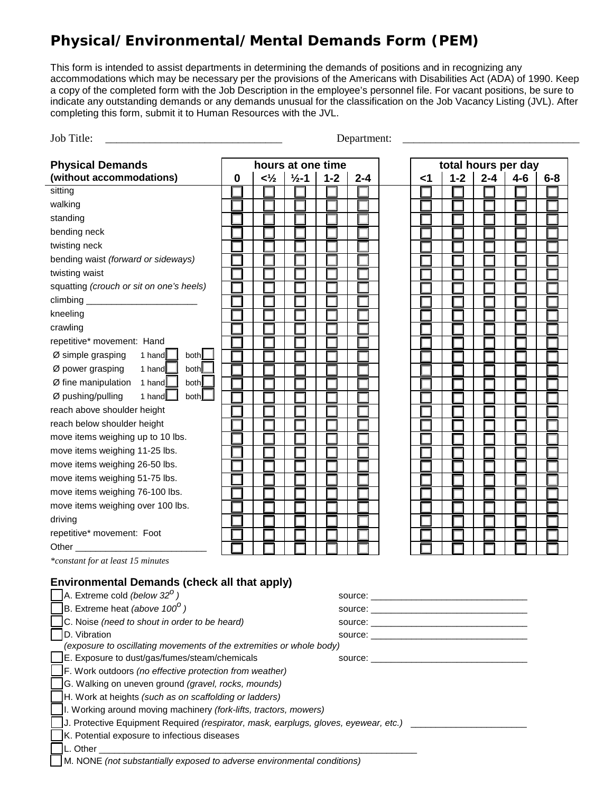# **Physical/Environmental/Mental Demands Form (PEM)**

This form is intended to assist departments in determining the demands of positions and in recognizing any accommodations which may be necessary per the provisions of the Americans with Disabilities Act (ADA) of 1990. Keep a copy of the completed form with the Job Description in the employee's personnel file. For vacant positions, be sure to indicate any outstanding demands or any demands unusual for the classification on the Job Vacancy Listing (JVL). After completing this form, submit it to Human Resources with the JVL.

| Job Title:<br>Department:                                                                                                                                                                                                                                                                              |                                          |                |                   |         |         |  |    |         |         |         |         |
|--------------------------------------------------------------------------------------------------------------------------------------------------------------------------------------------------------------------------------------------------------------------------------------------------------|------------------------------------------|----------------|-------------------|---------|---------|--|----|---------|---------|---------|---------|
| <b>Physical Demands</b>                                                                                                                                                                                                                                                                                | hours at one time<br>total hours per day |                |                   |         |         |  |    |         |         |         |         |
| (without accommodations)                                                                                                                                                                                                                                                                               | 0                                        | $<\frac{1}{2}$ | $\frac{1}{2} - 1$ | $1 - 2$ | $2 - 4$ |  | <1 | $1 - 2$ | $2 - 4$ | $4 - 6$ | $6 - 8$ |
| sitting                                                                                                                                                                                                                                                                                                |                                          |                |                   |         |         |  |    |         |         |         |         |
| walking                                                                                                                                                                                                                                                                                                |                                          |                |                   |         |         |  |    |         |         |         |         |
| standing                                                                                                                                                                                                                                                                                               |                                          |                |                   |         |         |  |    |         |         |         |         |
| bending neck                                                                                                                                                                                                                                                                                           |                                          |                |                   |         |         |  |    |         |         |         |         |
| twisting neck                                                                                                                                                                                                                                                                                          |                                          |                |                   |         |         |  |    |         |         |         |         |
| bending waist (forward or sideways)                                                                                                                                                                                                                                                                    |                                          |                |                   |         |         |  |    |         |         |         |         |
| twisting waist                                                                                                                                                                                                                                                                                         |                                          |                |                   |         |         |  |    |         |         |         |         |
| squatting (crouch or sit on one's heels)                                                                                                                                                                                                                                                               |                                          |                |                   |         |         |  |    |         |         |         |         |
|                                                                                                                                                                                                                                                                                                        |                                          |                |                   |         |         |  |    |         |         |         |         |
| kneeling                                                                                                                                                                                                                                                                                               |                                          |                |                   |         |         |  |    |         |         |         |         |
| crawling                                                                                                                                                                                                                                                                                               |                                          |                |                   |         |         |  |    |         |         |         |         |
| repetitive* movement: Hand                                                                                                                                                                                                                                                                             |                                          |                |                   |         |         |  |    |         |         |         |         |
| Ø simple grasping<br>1 hand<br>both                                                                                                                                                                                                                                                                    |                                          |                |                   |         |         |  |    |         |         |         |         |
| both<br>Ø power grasping<br>1 hand                                                                                                                                                                                                                                                                     |                                          |                |                   |         |         |  |    |         |         |         |         |
| both<br>$\emptyset$ fine manipulation 1 hand                                                                                                                                                                                                                                                           |                                          |                |                   |         |         |  |    |         |         |         |         |
| Ø pushing/pulling<br>1 hand<br>both                                                                                                                                                                                                                                                                    |                                          |                |                   |         |         |  |    |         |         |         |         |
| reach above shoulder height                                                                                                                                                                                                                                                                            |                                          |                |                   |         |         |  |    |         |         |         |         |
| reach below shoulder height                                                                                                                                                                                                                                                                            |                                          |                |                   |         |         |  |    |         |         |         |         |
| move items weighing up to 10 lbs.                                                                                                                                                                                                                                                                      |                                          |                |                   |         |         |  |    |         |         |         |         |
| move items weighing 11-25 lbs.                                                                                                                                                                                                                                                                         |                                          |                |                   |         |         |  |    |         |         |         |         |
| move items weighing 26-50 lbs.                                                                                                                                                                                                                                                                         |                                          |                |                   |         |         |  |    |         |         |         |         |
| move items weighing 51-75 lbs.                                                                                                                                                                                                                                                                         |                                          |                |                   |         |         |  |    |         |         |         |         |
| move items weighing 76-100 lbs.                                                                                                                                                                                                                                                                        |                                          |                |                   |         |         |  |    |         |         |         |         |
| move items weighing over 100 lbs.                                                                                                                                                                                                                                                                      |                                          |                |                   |         |         |  |    |         |         |         |         |
| driving                                                                                                                                                                                                                                                                                                |                                          |                |                   |         |         |  |    |         |         |         |         |
| repetitive* movement: Foot                                                                                                                                                                                                                                                                             |                                          |                |                   |         |         |  |    |         |         |         |         |
| Other_                                                                                                                                                                                                                                                                                                 |                                          |                |                   |         |         |  |    |         |         |         |         |
| *constant for at least 15 minutes                                                                                                                                                                                                                                                                      |                                          |                |                   |         |         |  |    |         |         |         |         |
|                                                                                                                                                                                                                                                                                                        |                                          |                |                   |         |         |  |    |         |         |         |         |
| <b>Environmental Demands (check all that apply)</b>                                                                                                                                                                                                                                                    |                                          |                |                   |         |         |  |    |         |         |         |         |
|                                                                                                                                                                                                                                                                                                        | A. Extreme cold (below $32^{\circ}$ )    |                |                   |         |         |  |    |         |         |         |         |
| B. Extreme heat (above 100 <sup>0</sup> )                                                                                                                                                                                                                                                              |                                          |                |                   |         |         |  |    |         |         |         |         |
| C. Noise (need to shout in order to be heard)<br>source: will be a series of the series of the series of the series of the series of the series of the series of the series of the series of the series of the series of the series of the series of the series of the series o<br>D. Vibration        |                                          |                |                   |         |         |  |    |         |         |         |         |
| source: will be a series of the series of the series of the series of the series of the series of the series of the series of the series of the series of the series of the series of the series of the series of the series o<br>(exposure to oscillating movements of the extremities or whole body) |                                          |                |                   |         |         |  |    |         |         |         |         |
| E. Exposure to dust/gas/fumes/steam/chemicals<br>source: when the contract of the contract of the contract of the contract of the contract of the contract of the contract of the contract of the contract of the contract of the contract of the contract of the contract of t                        |                                          |                |                   |         |         |  |    |         |         |         |         |
| F. Work outdoors (no effective protection from weather)                                                                                                                                                                                                                                                |                                          |                |                   |         |         |  |    |         |         |         |         |
| G. Walking on uneven ground (gravel, rocks, mounds)                                                                                                                                                                                                                                                    |                                          |                |                   |         |         |  |    |         |         |         |         |
| H. Work at heights (such as on scaffolding or ladders)                                                                                                                                                                                                                                                 |                                          |                |                   |         |         |  |    |         |         |         |         |
| II. Working around moving machinery (fork-lifts, tractors, mowers)                                                                                                                                                                                                                                     |                                          |                |                   |         |         |  |    |         |         |         |         |
| J. Protective Equipment Required (respirator, mask, earplugs, gloves, eyewear, etc.) ____________________                                                                                                                                                                                              |                                          |                |                   |         |         |  |    |         |         |         |         |
| K. Potential exposure to infectious diseases                                                                                                                                                                                                                                                           |                                          |                |                   |         |         |  |    |         |         |         |         |
| L. Other __                                                                                                                                                                                                                                                                                            |                                          |                |                   |         |         |  |    |         |         |         |         |
| M. NONE (not substantially exposed to adverse environmental conditions)                                                                                                                                                                                                                                |                                          |                |                   |         |         |  |    |         |         |         |         |